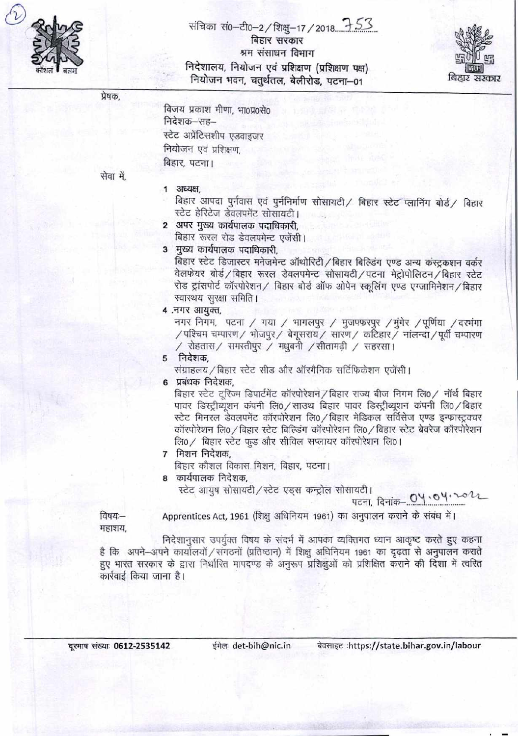

बिहार सरकार श्रम संसाधन विभाग निदेशालय, नियोजन एवं प्रशिक्षण (प्रशिक्षण पक्ष) नियोजन भवन, चतुर्थतल, बेलीरोड, पटना-01



प्रेषक.

| विजय प्रकाश मीणा, भा०प्र०से० |
|------------------------------|
| निदेशक–सह–                   |
| स्टेट अप्रेंटिसशीप एडवाइजर   |
| नियोजन एवं प्रशिक्षण,        |
| बिहार, पटना।                 |

सेवा में.

## 1 अध्यक्ष,

बिहार आपदा पुर्नवास एवं पुर्ननिर्माण सोसायटी/ बिहार स्टेट प्लानिंग बोर्ड/ बिहार स्टेट हेरिटेज डेवलपमेंट सोसायटी।

- 2 अपर मुख्य कार्यपालक पदाधिकारी. बिहार रूरल रोड डेवलपमेन्ट एजेंसी।
- 3 मुख्य कार्यपालक पदाधिकारी.

बिहार स्टेट डिजास्टर मनेजमेन्ट ऑथोरिटी / बिहार बिल्डिंग एण्ड अन्य कंस्ट्रकशन वर्कर वेलफेयर बोर्ड/बिहार रूरल डेवलपमेन्ट सोसायटी/पटना मेट्रोपोलिटन/बिहार स्टेट रोड ट्रांसपोर्ट कॉरपोरेशन / बिहार बोर्ड ऑफ ओपेन स्कूलिंग एण्ड एग्जामिनेशन / बिहार स्वास्थय सुरक्षा समिति।

```
4. नगर आयक्त.
```
नगर निगम, पटना / गया / भागलपुर / मुजफ्फरपुर /मुंगेर /पूर्णिया / दरभंगा /पश्चिम चम्पारण/ भोजपुर/ बेगूसराय/ सारण/ कटिहार/ नालन्दा/पूर्वी चम्पारण / रोहतास/ समस्तीपुर / मधुबनी /सीतामढी / सहरसा।

```
5 निदेशक.
```
संग्राहलय / बिहार स्टेट सीड और ऑरगैनिक सर्टिफिकेशन एजेंसी।

6 प्रबंधक निदेशक.

बिहार स्टेट टुरिज्म डिपार्टमेंट कॉरपोरेशन / बिहार राज्य बीज निगम लि0 / नॉर्थ बिहार पावर डिस्ट्रीब्यूशन कंपनी लि0 / साउथ बिहार पावर डिस्ट्रीब्यूशन कंपनी लि0 / बिहार स्टेट मिनरल डेवलपमेंट कॉरपोरेशन लि0 / बिहार मेडिकल सर्विसेज एण्ड इन्फ्रास्ट्रक्चर कॉरपोरेशन लि0 / बिहार स्टेट बिल्डिंग कॉरपोरेशन लि0 / बिहार स्टेट बेवरेज कॉरपोरेशन लि0 / बिहार स्टेट फूड और सीविल सप्लायर कॉरपोरेशन लि0।

7 मिशन निदेशक.

बिहार कौशल विकास मिशन, बिहार, पटना।

8 कार्यपालक निदेशक.

स्टेट आयुष सोसायटी/स्टेट एड्स कन्ट्रोल सोसायटी।

पटना, दिनांक-  $O$ प  $\cdot$   $\circ$   $\vee$   $\cdot$ 

विषयः— महाशय, Apprentices Act, 1961 (शिक्षु अधिनियम 1961) का अनुपालन कराने के संबंध में।

निदेशानसार उपर्युक्त विषय के संदर्भ में आपका व्यक्तिगत ध्यान आकृष्ट करते हुए कहना है कि अपने-अपने कार्यालयों / संगठनों (प्रतिष्ठान) में शिक्षु अधिनियम 1961 का दृढ़ता से अनुपालन कराते हुए भारत सरकार के द्वारा निर्धारित मापदण्ड के अनुरूप प्रशिक्षुओं को प्रशिक्षित कराने की दिशा में त्वरित कार्रवाई किया जाना है।

दूरभाष संख्याः 0612-2535142

ईमेलः det-bih@nic.in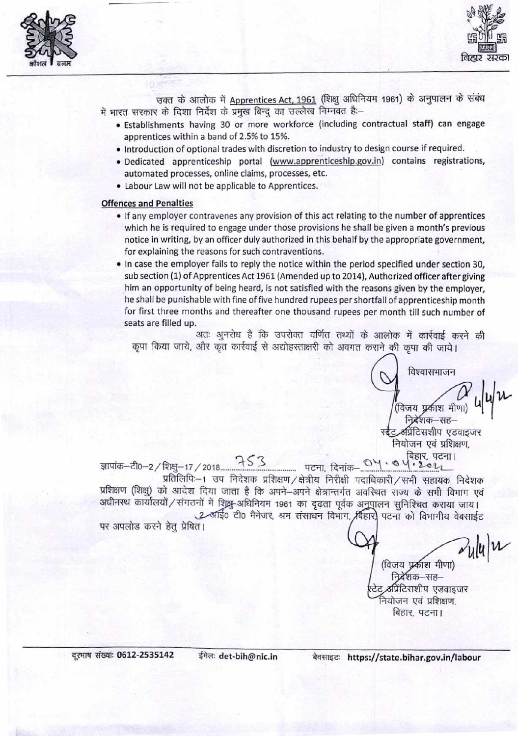



उक्त के आलोक में Apprentices Act, 1961 (शिक्षु अधिनियम 1961) के अनुपालन के संबंध में भारत सरकार के दिशा निर्देश के प्रमुख बिन्दु का उल्लेख निम्नवत है:–

- · Establishments having 30 or more workforce (including contractual staff) can engage apprentices within a band of 2.5% to 15%.
- . Introduction of optional trades with discretion to industry to design course if required.
- · Dedicated apprenticeship portal (www.apprenticeship.gov.in) contains registrations, automated processes, online claims, processes, etc.
- Labour Law will not be applicable to Apprentices.

## **Offences and Penalties**

- If any employer contravenes any provision of this act relating to the number of apprentices which he is required to engage under those provisions he shall be given a month's previous notice in writing, by an officer duly authorized in this behalf by the appropriate government, for explaining the reasons for such contraventions.
- In case the employer fails to reply the notice within the period specified under section 30, sub section (1) of Apprentices Act 1961 (Amended up to 2014), Authorized officer after giving him an opportunity of being heard, is not satisfied with the reasons given by the employer. he shall be punishable with fine of five hundred rupees per shortfall of apprenticeship month for first three months and thereafter one thousand rupees per month till such number of seats are filled up.

अतः अनरोध है कि उपरोक्त वर्णित तथ्यों के आलोक में कार्रवाई करने की कृपा किया जाये, और कृत कार्रवाई से अद्योहस्ताक्षरी को अवगत कराने की कृपा की जाये।

> विश्वासभाजन वेजय प्रकाश मीणा) निद्रेशक–सह-अप्रिंटिसशीप एडवाइजर नियोजन एवं प्रशिक्षण,

प्रतिलिपिः-1 उप निदेशक प्रशिक्षण / क्षेत्रीय निरीक्षी पदाधिकारी / सभी सहायक निदेशक प्रशिक्षण (शिक्षु) को आदेश दिया जाता है कि अपने-अपने क्षेत्रान्तर्गत अवस्थित राज्य के सभी विभाग एवं

अधीनस्थ कार्यालयों / संगठनों में शिक्षु-अधिनियम 1961 का दृढ़ता पूर्वक अनुपालन सुनिश्चित कराया जाय। 2 अर्हि0 टी0 मैनेजर, श्रम संसाधन विभाग, बिहार) पटना को विभागीय वेबसाईट

पर अपलोड करने हेतु प्रेषित।

 $\sim$ ulu $|u|$ विजय प्रकाश मीणा)

देशक—सह— प्रिंटिसशीप एडवाइजर नेयोजन एवं प्रशिक्षण. बिहार, पटना।

बेवसाइट: https://state.bihar.gov.in/labour

ईमेलः det-bih@nic.in

दूरमाष संख्याः 0612-2535142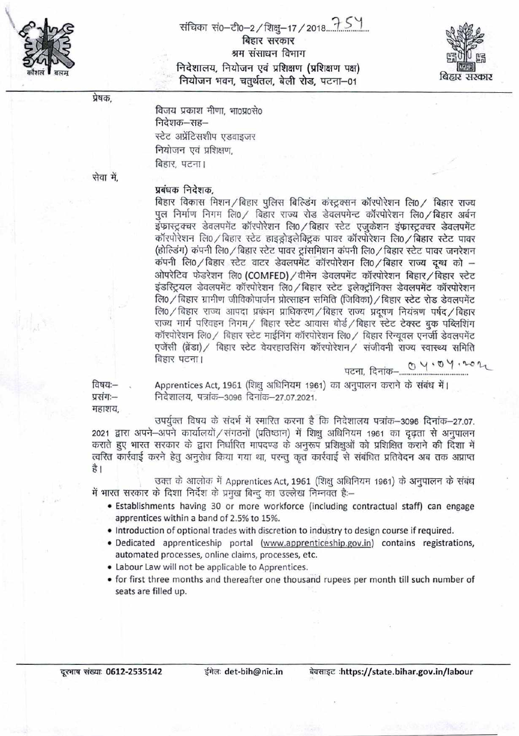

संचिका सं0-टी0-2/शिक्षु-17/2018 75 1 बिहार सरकार श्रम संसाधन विभाग निदेशालय, नियोजन एवं प्रशिक्षण (प्रशिक्षण पक्ष) नियोजन भवन, चतुर्थतल, बेली रोड, पटना-01



प्रेषक.

विजय प्रकाश मीणा, भा०प्र०से० निदेशक—सह— स्टेट अप्रेंटिसशीप एडवाइजर नियोजन एवं प्रशिक्षण, बिहार, पटना।

सेवा में.

## प्रबंधक निदेशक.

बिहार विकास मिशन/बिहार पुलिस बिल्डिंग कंस्ट्रक्सन कॉरपोरेशन लि0/ बिहार राज्य पुल निर्माण निगम लि0 / बिहार राज्य रोड डेवलपमेन्ट कॉरपोरेशन लि0 / बिहार अर्बन इंफास्ट्रक्चर डेवलपमेंट कॉरपोरेशन लि0 / बिहार स्टेट एजुकेशन इंफास्ट्रक्चर डेवलपमेंट कॉरपोरेशन लि0 / बिहार स्टेट हाइड्रोइलेक्ट्रिक पावर कॉरपोरेशन लि0 / बिहार स्टेट पावर (होल्डिंग) कंपनी लि0 / बिहार स्टेट पावर ट्रांसमिशन कंपनी लि0 / बिहार स्टेट पावर जनरेशन कंपनी लि0 / बिहार स्टेट वाटर डेवलपमेंट कॉरपोरेशन लि0 / बिहार राज्य दग्ध को -ओपरेटिव फेडरेशन लि0 (COMFED) / वीमेन डेवलपमेंट कॉरपोरेशन बिहार / बिहार स्टेट इंडस्ट्रियल डेवलपमेंट कॉरपोरेशन लि0 / बिहार स्टेट इलेक्टॉनिक्स डेवलपमेंट कॉरपोरेशन लि0 / बिहार ग्रामीण जीविकोपार्जन प्रोत्साहन समिति (जिविका) / बिहार स्टेट रोड डेवलपमेंट लि0 / बिहार राज्य आपदा प्रबंधन प्राधिकरण / बिहार राज्य प्रदूषण नियंत्रण पर्षद / बिहार राज्य मार्ग परिवहन निगम / बिहार स्टेट आवास बोर्ड / बिहार स्टेट टेक्स्ट बुक पब्लिशिंग कॉरपोरेशन लि0 / बिहार स्टेट माईनिंग कॉरपोरेशन लि0 / बिहार रिन्यूवल एनर्जी डेवलपमेंट एजेंसी (ब्रेंडा) / बिहार स्टेट वेयरहाउसिंग कॉरपोरेशन / संजीवनी राज्य स्वास्थ्य समिति बिहार पटना।  $0.4.04.22$ 

पटना, दिनांक

विषय:-प्रसंग:--महाशय, Apprentices Act, 1961 (शिक्षु अधिनियम 1961) का अनुपालन कराने के संबंध में। निदेशालय, पत्रांक-3096 दिनांक-27.07.2021.

उपर्युक्त विषय के संदर्भ में स्मारित करना है कि निदेशालय पत्रांक-3096 दिनांक-27.07. 2021 द्वारा अपने-अपने कार्यालयों / संगठनों (प्रतिष्ठान) में शिक्षु अधिनियम 1961 का दृढ़ता से अनुपालन कराते हुए भारत सरकार के द्वारा निर्धारित मापदण्ड के अनुरूप प्रशिक्षुओं को प्रशिक्षित कराने की दिशा में त्वरित कार्रवाई करने हेतु अनुरोध किया गया था, परन्तु कृत कार्रवाई से संबंधित प्रतिवेदन अब तक अप्राप्त है।

उक्त के आलोक में Apprentices Act, 1961 (शिक्षु अधिनियम 1961) के अनुपालन के संबंध में भारत सरकार के दिशा निर्देश के प्रमुख बिन्दू का उल्लेख निम्नवत है:--

- · Establishments having 30 or more workforce (including contractual staff) can engage apprentices within a band of 2.5% to 15%.
- Introduction of optional trades with discretion to industry to design course if required.
- · Dedicated apprenticeship portal (www.apprenticeship.gov.in) contains registrations, automated processes, online claims, processes, etc.
- Labour Law will not be applicable to Apprentices.
- for first three months and thereafter one thousand rupees per month till such number of seats are filled up.